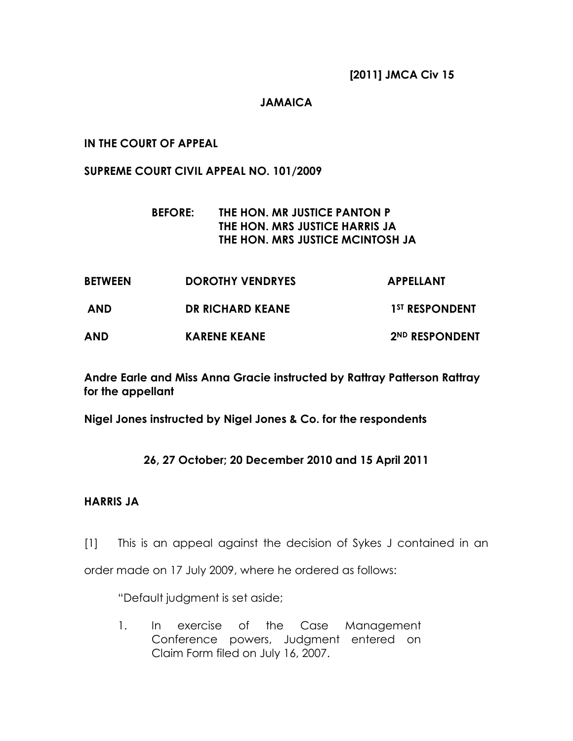[2011] JMCA Civ 15

### JAMAICA

### IN THE COURT OF APPEAL

#### SUPREME COURT CIVIL APPEAL NO. 101/2009

## BEFORE: THE HON. MR JUSTICE PANTON P THE HON. MRS JUSTICE HARRIS JA THE HON. MRS JUSTICE MCINTOSH JA

| <b>BETWEEN</b> | <b>DOROTHY VENDRYES</b> | <b>APPELLANT</b>           |
|----------------|-------------------------|----------------------------|
| <b>AND</b>     | <b>DR RICHARD KEANE</b> | 1 <sup>ST</sup> RESPONDENT |
| <b>AND</b>     | <b>KARENE KEANE</b>     | 2ND RESPONDENT             |

Andre Earle and Miss Anna Gracie instructed by Rattray Patterson Rattray for the appellant

Nigel Jones instructed by Nigel Jones & Co. for the respondents

## 26, 27 October; 20 December 2010 and 15 April 2011

## HARRIS JA

[1] This is an appeal against the decision of Sykes J contained in an

order made on 17 July 2009, where he ordered as follows:

"Default judgment is set aside;

1. In exercise of the Case Management Conference powers, Judgment entered on Claim Form filed on July 16, 2007.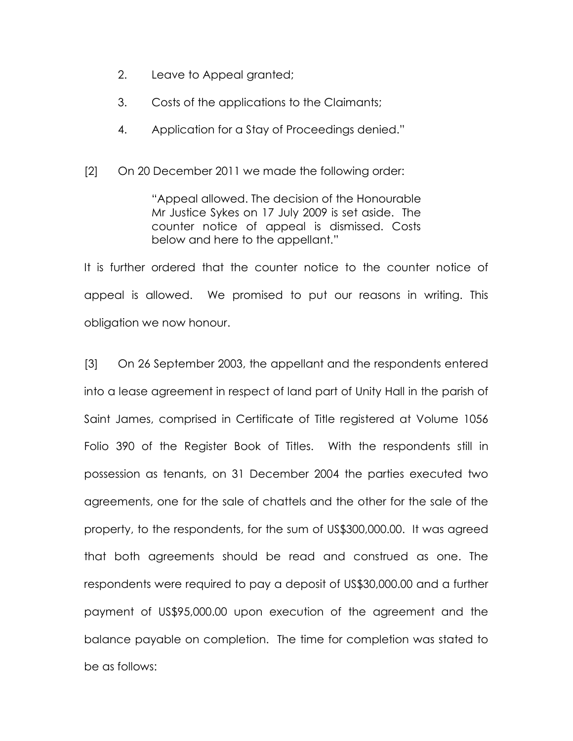- 2. Leave to Appeal granted;
- 3. Costs of the applications to the Claimants;
- 4. Application for a Stay of Proceedings denied."
- [2] On 20 December 2011 we made the following order:

"Appeal allowed. The decision of the Honourable Mr Justice Sykes on 17 July 2009 is set aside. The counter notice of appeal is dismissed. Costs below and here to the appellant."

It is further ordered that the counter notice to the counter notice of appeal is allowed. We promised to put our reasons in writing. This obligation we now honour.

[3] On 26 September 2003, the appellant and the respondents entered into a lease agreement in respect of land part of Unity Hall in the parish of Saint James, comprised in Certificate of Title registered at Volume 1056 Folio 390 of the Register Book of Titles. With the respondents still in possession as tenants, on 31 December 2004 the parties executed two agreements, one for the sale of chattels and the other for the sale of the property, to the respondents, for the sum of US\$300,000.00. It was agreed that both agreements should be read and construed as one. The respondents were required to pay a deposit of US\$30,000.00 and a further payment of US\$95,000.00 upon execution of the agreement and the balance payable on completion. The time for completion was stated to be as follows: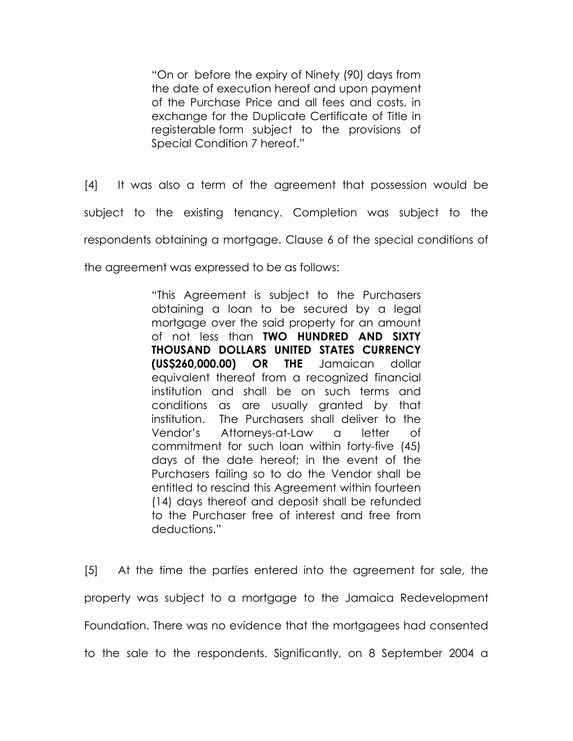"On or before the expiry of Ninety (90) days from the date of execution hereof and upon payment of the Purchase Price and all fees and costs, in exchange for the Duplicate Certificate of Title in registerable form subject to the provisions of Special Condition 7 hereof."

[4] It was also a term of the agreement that possession would be subject to the existing tenancy. Completion was subject to the respondents obtaining a mortgage. Clause 6 of the special conditions of

the agreement was expressed to be as follows:

"This Agreement is subject to the Purchasers obtaining a loan to be secured by a legal mortgage over the said property for an amount of not less than TWO HUNDRED AND SIXTY THOUSAND DOLLARS UNITED STATES CURRENCY (US\$260,000.00) OR THE Jamaican dollar equivalent thereof from a recognized financial institution and shall be on such terms and conditions as are usually granted by that institution. The Purchasers shall deliver to the Vendor's Attorneys-at-Law a letter of commitment for such loan within forty-five (45) days of the date hereof; in the event of the Purchasers failing so to do the Vendor shall be entitled to rescind this Agreement within fourteen (14) days thereof and deposit shall be refunded to the Purchaser free of interest and free from deductions."

[5] At the time the parties entered into the agreement for sale, the property was subject to a mortgage to the Jamaica Redevelopment Foundation. There was no evidence that the mortgagees had consented to the sale to the respondents. Significantly, on 8 September 2004 a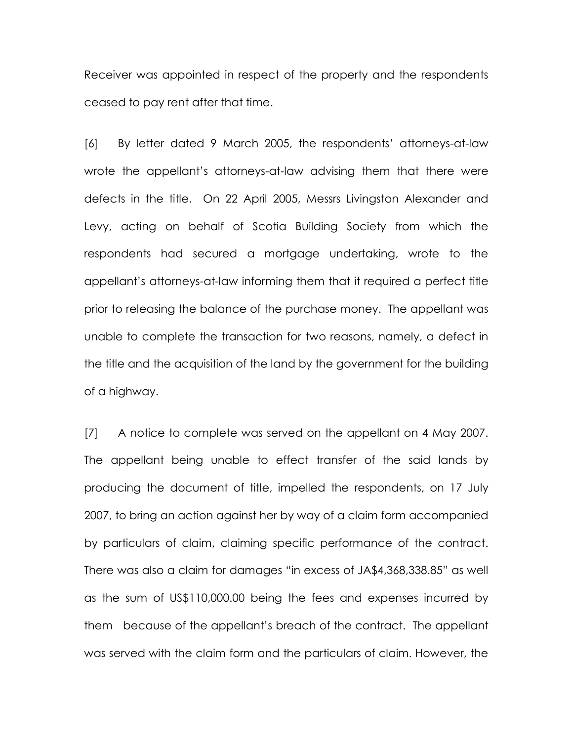Receiver was appointed in respect of the property and the respondents ceased to pay rent after that time.

[6] By letter dated 9 March 2005, the respondents' attorneys-at-law wrote the appellant's attorneys-at-law advising them that there were defects in the title. On 22 April 2005, Messrs Livingston Alexander and Levy, acting on behalf of Scotia Building Society from which the respondents had secured a mortgage undertaking, wrote to the appellant's attorneys-at-law informing them that it required a perfect title prior to releasing the balance of the purchase money. The appellant was unable to complete the transaction for two reasons, namely, a defect in the title and the acquisition of the land by the government for the building of a highway.

[7] A notice to complete was served on the appellant on 4 May 2007. The appellant being unable to effect transfer of the said lands by producing the document of title, impelled the respondents, on 17 July 2007, to bring an action against her by way of a claim form accompanied by particulars of claim, claiming specific performance of the contract. There was also a claim for damages "in excess of JA\$4,368,338.85" as well as the sum of US\$110,000.00 being the fees and expenses incurred by them because of the appellant's breach of the contract. The appellant was served with the claim form and the particulars of claim. However, the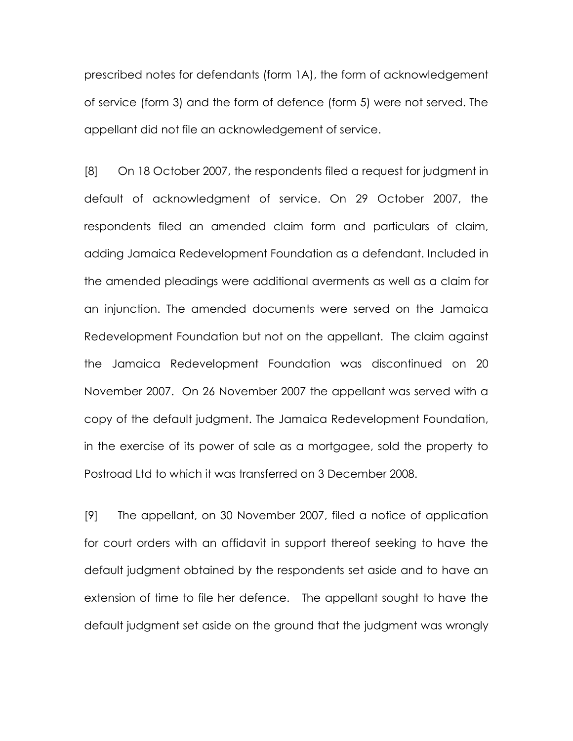prescribed notes for defendants (form 1A), the form of acknowledgement of service (form 3) and the form of defence (form 5) were not served. The appellant did not file an acknowledgement of service.

[8] On 18 October 2007, the respondents filed a request for judgment in default of acknowledgment of service. On 29 October 2007, the respondents filed an amended claim form and particulars of claim, adding Jamaica Redevelopment Foundation as a defendant. Included in the amended pleadings were additional averments as well as a claim for an injunction. The amended documents were served on the Jamaica Redevelopment Foundation but not on the appellant. The claim against the Jamaica Redevelopment Foundation was discontinued on 20 November 2007. On 26 November 2007 the appellant was served with a copy of the default judgment. The Jamaica Redevelopment Foundation, in the exercise of its power of sale as a mortgagee, sold the property to Postroad Ltd to which it was transferred on 3 December 2008.

[9] The appellant, on 30 November 2007, filed a notice of application for court orders with an affidavit in support thereof seeking to have the default judgment obtained by the respondents set aside and to have an extension of time to file her defence. The appellant sought to have the default judgment set aside on the ground that the judgment was wrongly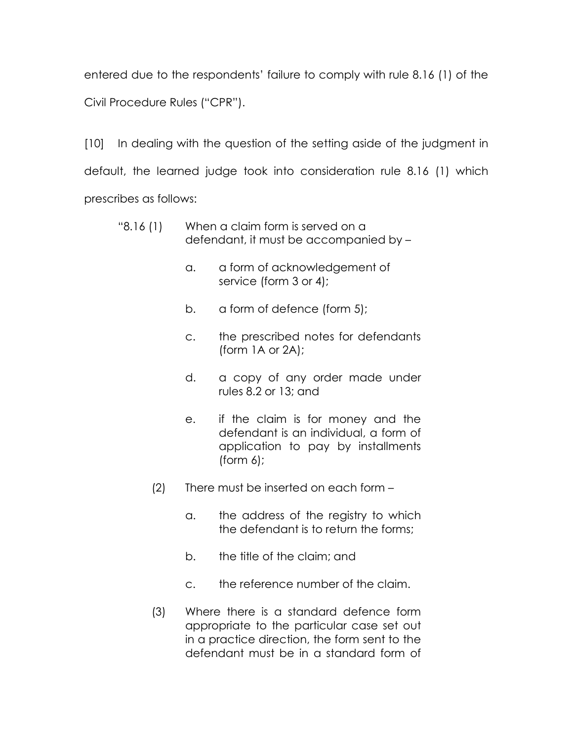entered due to the respondents' failure to comply with rule 8.16 (1) of the Civil Procedure Rules ("CPR").

[10] In dealing with the question of the setting aside of the judgment in default, the learned judge took into consideration rule 8.16 (1) which prescribes as follows:

| "8.16(1) | When a claim form is served on a       |
|----------|----------------------------------------|
|          | defendant, it must be accompanied by - |

- a. a form of acknowledgement of service (form 3 or 4);
- b. a form of defence (form 5);
- c. the prescribed notes for defendants (form 1A or 2A);
- d. a copy of any order made under rules 8.2 or 13; and
- e. if the claim is for money and the defendant is an individual, a form of application to pay by installments (form 6);
- (2) There must be inserted on each form
	- a. the address of the registry to which the defendant is to return the forms;
	- b. the title of the claim; and
	- c. the reference number of the claim.
- (3) Where there is a standard defence form appropriate to the particular case set out in a practice direction, the form sent to the defendant must be in a standard form of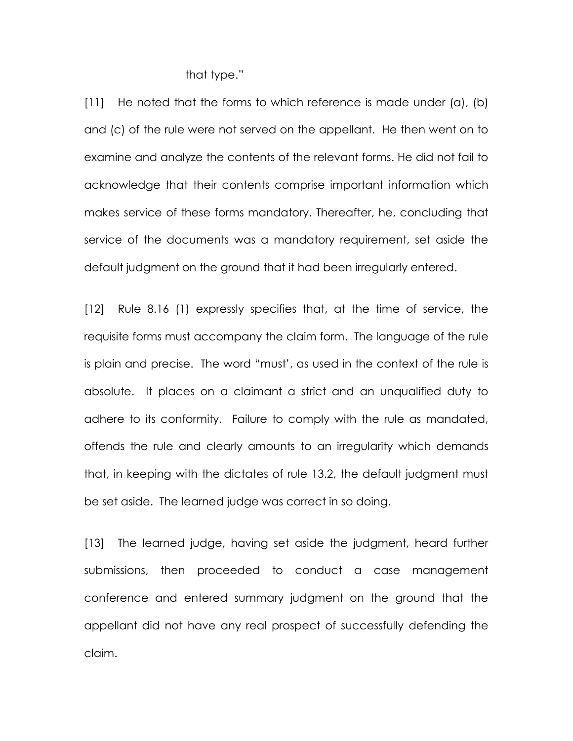that type."

[11] He noted that the forms to which reference is made under (a), (b) and (c) of the rule were not served on the appellant. He then went on to examine and analyze the contents of the relevant forms. He did not fail to acknowledge that their contents comprise important information which makes service of these forms mandatory. Thereafter, he, concluding that service of the documents was a mandatory requirement, set aside the default judgment on the ground that it had been irregularly entered.

[12] Rule 8.16 (1) expressly specifies that, at the time of service, the requisite forms must accompany the claim form. The language of the rule is plain and precise. The word "must', as used in the context of the rule is absolute. It places on a claimant a strict and an unqualified duty to adhere to its conformity. Failure to comply with the rule as mandated, offends the rule and clearly amounts to an irregularity which demands that, in keeping with the dictates of rule 13.2, the default judgment must be set aside. The learned judge was correct in so doing.

[13] The learned judge, having set aside the judgment, heard further submissions, then proceeded to conduct a case management conference and entered summary judgment on the ground that the appellant did not have any real prospect of successfully defending the claim.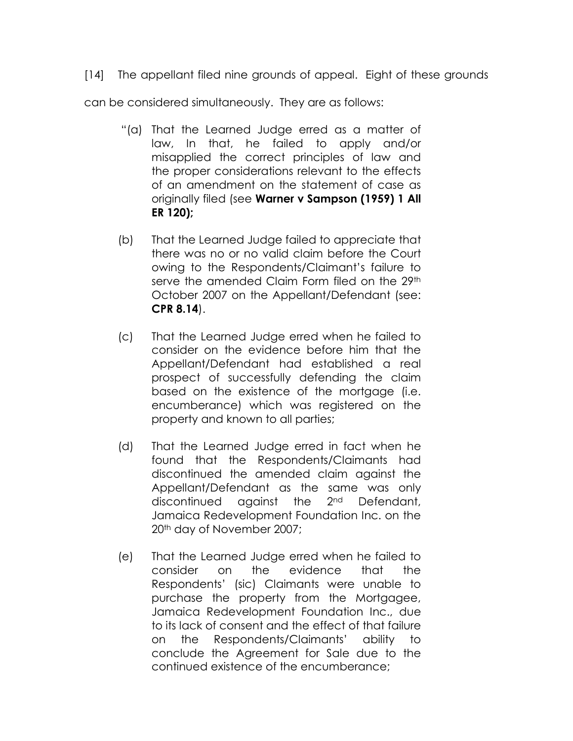[14] The appellant filed nine grounds of appeal. Eight of these grounds

can be considered simultaneously. They are as follows:

- "(a) That the Learned Judge erred as a matter of law, In that, he failed to apply and/or misapplied the correct principles of law and the proper considerations relevant to the effects of an amendment on the statement of case as originally filed (see Warner v Sampson (1959) 1 All ER 120);
- (b) That the Learned Judge failed to appreciate that there was no or no valid claim before the Court owing to the Respondents/Claimant's failure to serve the amended Claim Form filed on the 29<sup>th</sup> October 2007 on the Appellant/Defendant (see: CPR 8.14).
- (c) That the Learned Judge erred when he failed to consider on the evidence before him that the Appellant/Defendant had established a real prospect of successfully defending the claim based on the existence of the mortgage (i.e. encumberance) which was registered on the property and known to all parties;
- (d) That the Learned Judge erred in fact when he found that the Respondents/Claimants had discontinued the amended claim against the Appellant/Defendant as the same was only discontinued against the 2nd Defendant, Jamaica Redevelopment Foundation Inc. on the 20th day of November 2007;
- (e) That the Learned Judge erred when he failed to consider on the evidence that the Respondents' (sic) Claimants were unable to purchase the property from the Mortgagee, Jamaica Redevelopment Foundation Inc., due to its lack of consent and the effect of that failure on the Respondents/Claimants' ability to conclude the Agreement for Sale due to the continued existence of the encumberance;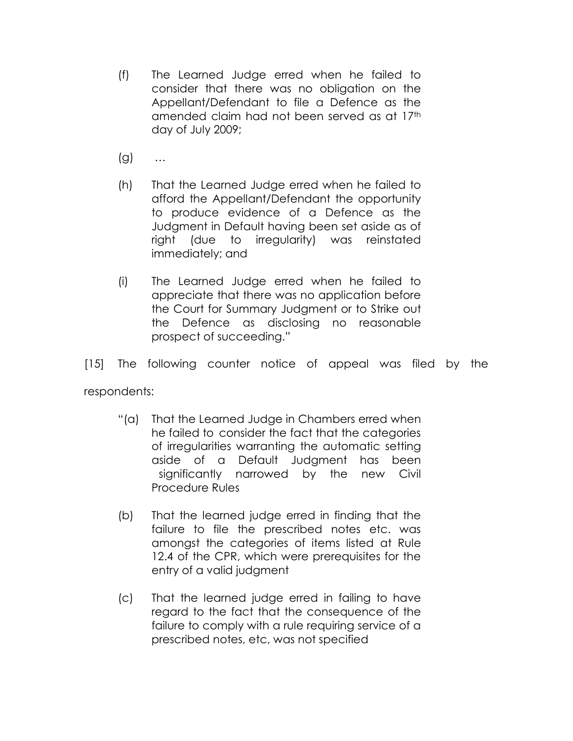- (f) The Learned Judge erred when he failed to consider that there was no obligation on the Appellant/Defendant to file a Defence as the amended claim had not been served as at 17th day of July 2009;
- (g) …
- (h) That the Learned Judge erred when he failed to afford the Appellant/Defendant the opportunity to produce evidence of a Defence as the Judgment in Default having been set aside as of right (due to irregularity) was reinstated immediately; and
- (i) The Learned Judge erred when he failed to appreciate that there was no application before the Court for Summary Judgment or to Strike out the Defence as disclosing no reasonable prospect of succeeding."

[15] The following counter notice of appeal was filed by the

respondents:

- "(a) That the Learned Judge in Chambers erred when he failed to consider the fact that the categories of irregularities warranting the automatic setting aside of a Default Judgment has been significantly narrowed by the new Civil Procedure Rules
- (b) That the learned judge erred in finding that the failure to file the prescribed notes etc. was amongst the categories of items listed at Rule 12.4 of the CPR, which were prerequisites for the entry of a valid judgment
- (c) That the learned judge erred in failing to have regard to the fact that the consequence of the failure to comply with a rule requiring service of a prescribed notes, etc, was not specified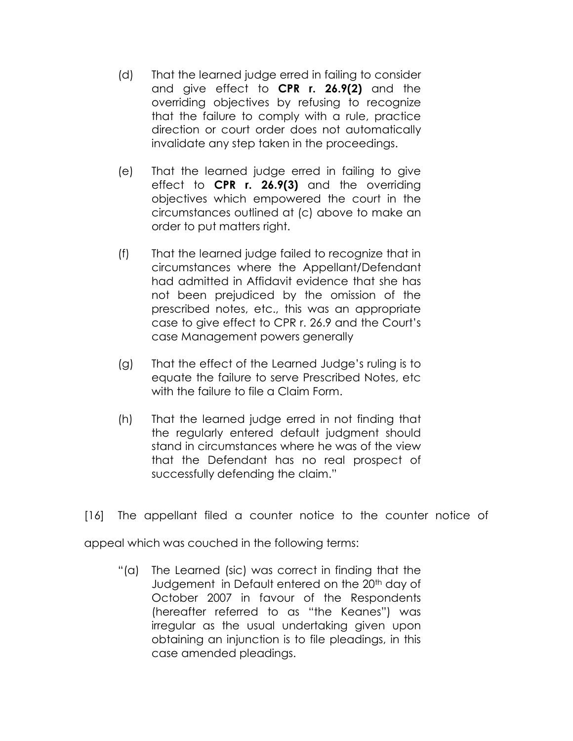- (d) That the learned judge erred in failing to consider and give effect to CPR r. 26.9(2) and the overriding objectives by refusing to recognize that the failure to comply with a rule, practice direction or court order does not automatically invalidate any step taken in the proceedings.
- (e) That the learned judge erred in failing to give effect to **CPR r. 26.9(3)** and the overriding objectives which empowered the court in the circumstances outlined at (c) above to make an order to put matters right.
- (f) That the learned judge failed to recognize that in circumstances where the Appellant/Defendant had admitted in Affidavit evidence that she has not been prejudiced by the omission of the prescribed notes, etc., this was an appropriate case to give effect to CPR r. 26.9 and the Court's case Management powers generally
- (g) That the effect of the Learned Judge's ruling is to equate the failure to serve Prescribed Notes, etc with the failure to file a Claim Form.
- (h) That the learned judge erred in not finding that the regularly entered default judgment should stand in circumstances where he was of the view that the Defendant has no real prospect of successfully defending the claim."
- [16] The appellant filed a counter notice to the counter notice of

appeal which was couched in the following terms:

"(a) The Learned (sic) was correct in finding that the Judgement in Default entered on the 20<sup>th</sup> day of October 2007 in favour of the Respondents (hereafter referred to as "the Keanes") was irregular as the usual undertaking given upon obtaining an injunction is to file pleadings, in this case amended pleadings.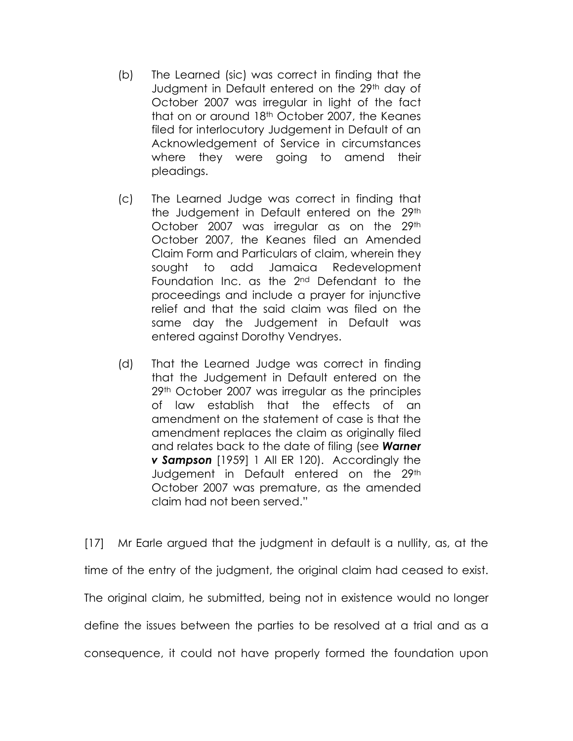- (b) The Learned (sic) was correct in finding that the Judgment in Default entered on the 29th day of October 2007 was irregular in light of the fact that on or around 18th October 2007, the Keanes filed for interlocutory Judgement in Default of an Acknowledgement of Service in circumstances where they were going to amend their pleadings.
- (c) The Learned Judge was correct in finding that the Judgement in Default entered on the 29th October 2007 was irregular as on the 29th October 2007, the Keanes filed an Amended Claim Form and Particulars of claim, wherein they sought to add Jamaica Redevelopment Foundation Inc. as the 2nd Defendant to the proceedings and include a prayer for injunctive relief and that the said claim was filed on the same day the Judgement in Default was entered against Dorothy Vendryes.
- (d) That the Learned Judge was correct in finding that the Judgement in Default entered on the 29<sup>th</sup> October 2007 was irregular as the principles of law establish that the effects of an amendment on the statement of case is that the amendment replaces the claim as originally filed and relates back to the date of filing (see **Warner v Sampson** [1959] 1 All ER 120]. Accordingly the Judgement in Default entered on the 29th October 2007 was premature, as the amended claim had not been served."

[17] Mr Earle argued that the judgment in default is a nullity, as, at the time of the entry of the judgment, the original claim had ceased to exist. The original claim, he submitted, being not in existence would no longer define the issues between the parties to be resolved at a trial and as a consequence, it could not have properly formed the foundation upon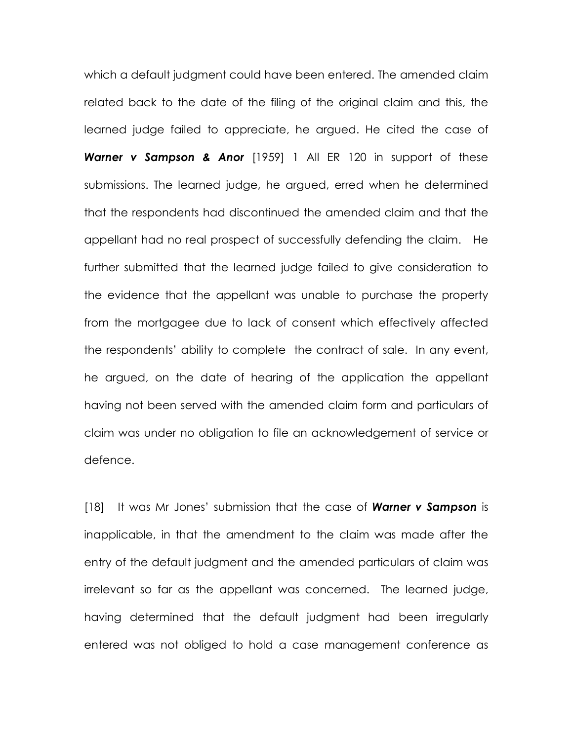which a default judgment could have been entered. The amended claim related back to the date of the filing of the original claim and this, the learned judge failed to appreciate, he argued. He cited the case of Warner v Sampson & Anor [1959] 1 All ER 120 in support of these submissions. The learned judge, he argued, erred when he determined that the respondents had discontinued the amended claim and that the appellant had no real prospect of successfully defending the claim. He further submitted that the learned judge failed to give consideration to the evidence that the appellant was unable to purchase the property from the mortgagee due to lack of consent which effectively affected the respondents' ability to complete the contract of sale. In any event, he argued, on the date of hearing of the application the appellant having not been served with the amended claim form and particulars of claim was under no obligation to file an acknowledgement of service or defence.

[18] It was Mr Jones' submission that the case of **Warner v Sampson** is inapplicable, in that the amendment to the claim was made after the entry of the default judgment and the amended particulars of claim was irrelevant so far as the appellant was concerned. The learned judge, having determined that the default judgment had been irregularly entered was not obliged to hold a case management conference as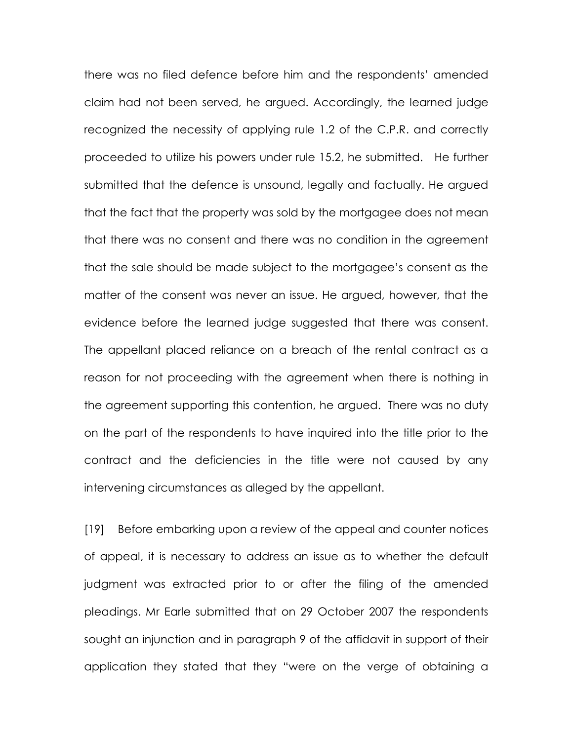there was no filed defence before him and the respondents' amended claim had not been served, he argued. Accordingly, the learned judge recognized the necessity of applying rule 1.2 of the C.P.R. and correctly proceeded to utilize his powers under rule 15.2, he submitted. He further submitted that the defence is unsound, legally and factually. He argued that the fact that the property was sold by the mortgagee does not mean that there was no consent and there was no condition in the agreement that the sale should be made subject to the mortgagee's consent as the matter of the consent was never an issue. He argued, however, that the evidence before the learned judge suggested that there was consent. The appellant placed reliance on a breach of the rental contract as a reason for not proceeding with the agreement when there is nothing in the agreement supporting this contention, he argued. There was no duty on the part of the respondents to have inquired into the title prior to the contract and the deficiencies in the title were not caused by any intervening circumstances as alleged by the appellant.

[19] Before embarking upon a review of the appeal and counter notices of appeal, it is necessary to address an issue as to whether the default judgment was extracted prior to or after the filing of the amended pleadings. Mr Earle submitted that on 29 October 2007 the respondents sought an injunction and in paragraph 9 of the affidavit in support of their application they stated that they "were on the verge of obtaining a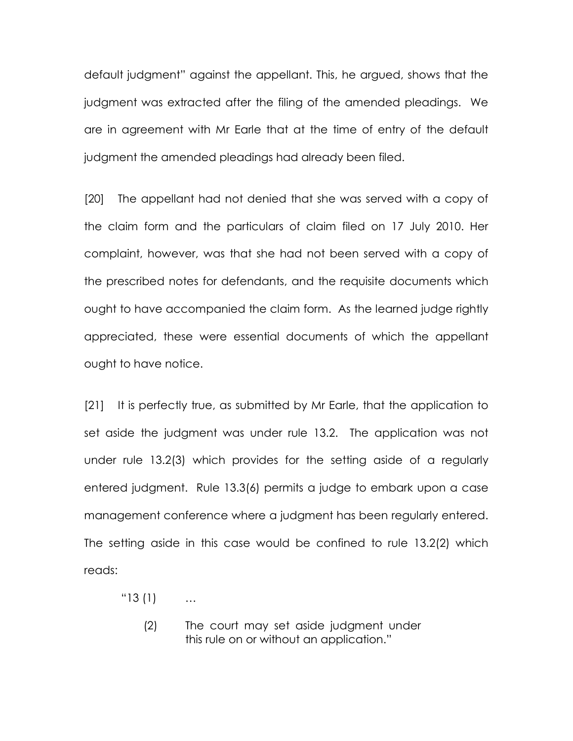default judgment" against the appellant. This, he argued, shows that the judgment was extracted after the filing of the amended pleadings. We are in agreement with Mr Earle that at the time of entry of the default judgment the amended pleadings had already been filed.

[20] The appellant had not denied that she was served with a copy of the claim form and the particulars of claim filed on 17 July 2010. Her complaint, however, was that she had not been served with a copy of the prescribed notes for defendants, and the requisite documents which ought to have accompanied the claim form. As the learned judge rightly appreciated, these were essential documents of which the appellant ought to have notice.

[21] It is perfectly true, as submitted by Mr Earle, that the application to set aside the judgment was under rule 13.2. The application was not under rule 13.2(3) which provides for the setting aside of a regularly entered judgment. Rule 13.3(6) permits a judge to embark upon a case management conference where a judgment has been regularly entered. The setting aside in this case would be confined to rule 13.2(2) which reads:

"13 (1) …

 (2) The court may set aside judgment under this rule on or without an application."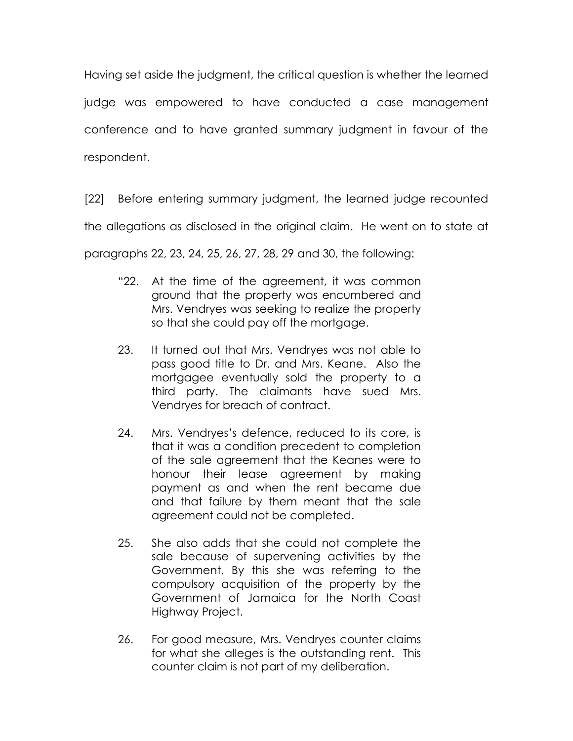Having set aside the judgment, the critical question is whether the learned judge was empowered to have conducted a case management conference and to have granted summary judgment in favour of the respondent.

[22] Before entering summary judgment, the learned judge recounted the allegations as disclosed in the original claim. He went on to state at paragraphs 22, 23, 24, 25, 26, 27, 28, 29 and 30, the following:

- "22. At the time of the agreement, it was common ground that the property was encumbered and Mrs. Vendryes was seeking to realize the property so that she could pay off the mortgage.
- 23. It turned out that Mrs. Vendryes was not able to pass good title to Dr. and Mrs. Keane. Also the mortgagee eventually sold the property to a third party. The claimants have sued Mrs. Vendryes for breach of contract.
- 24. Mrs. Vendryes's defence, reduced to its core, is that it was a condition precedent to completion of the sale agreement that the Keanes were to honour their lease agreement by making payment as and when the rent became due and that failure by them meant that the sale agreement could not be completed.
- 25. She also adds that she could not complete the sale because of supervening activities by the Government. By this she was referring to the compulsory acquisition of the property by the Government of Jamaica for the North Coast Highway Project.
- 26. For good measure, Mrs. Vendryes counter claims for what she alleges is the outstanding rent. This counter claim is not part of my deliberation.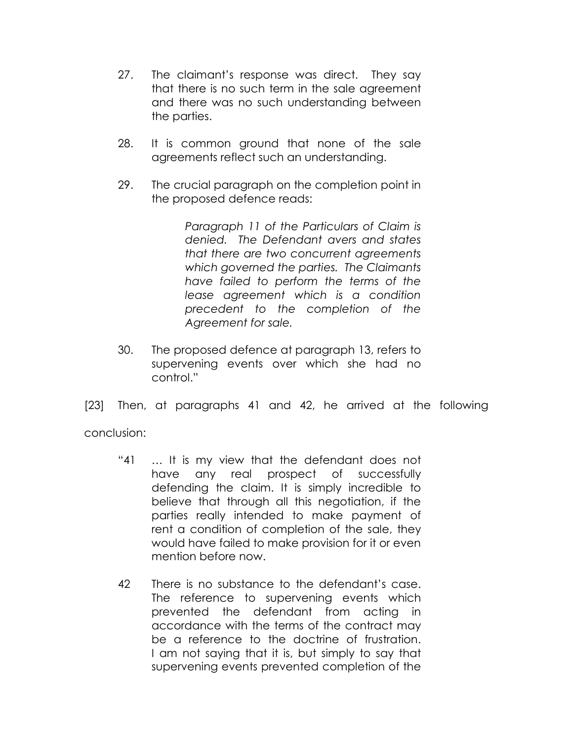- 27. The claimant's response was direct. They say that there is no such term in the sale agreement and there was no such understanding between the parties.
- 28. It is common ground that none of the sale agreements reflect such an understanding.
- 29. The crucial paragraph on the completion point in the proposed defence reads:

Paragraph 11 of the Particulars of Claim is denied. The Defendant avers and states that there are two concurrent agreements which governed the parties. The Claimants have failed to perform the terms of the lease agreement which is a condition precedent to the completion of the Agreement for sale.

30. The proposed defence at paragraph 13, refers to supervening events over which she had no control."

[23] Then, at paragraphs 41 and 42, he arrived at the following

conclusion:

- "41 … It is my view that the defendant does not have any real prospect of successfully defending the claim. It is simply incredible to believe that through all this negotiation, if the parties really intended to make payment of rent a condition of completion of the sale, they would have failed to make provision for it or even mention before now.
- 42 There is no substance to the defendant's case. The reference to supervening events which prevented the defendant from acting in accordance with the terms of the contract may be a reference to the doctrine of frustration. I am not saying that it is, but simply to say that supervening events prevented completion of the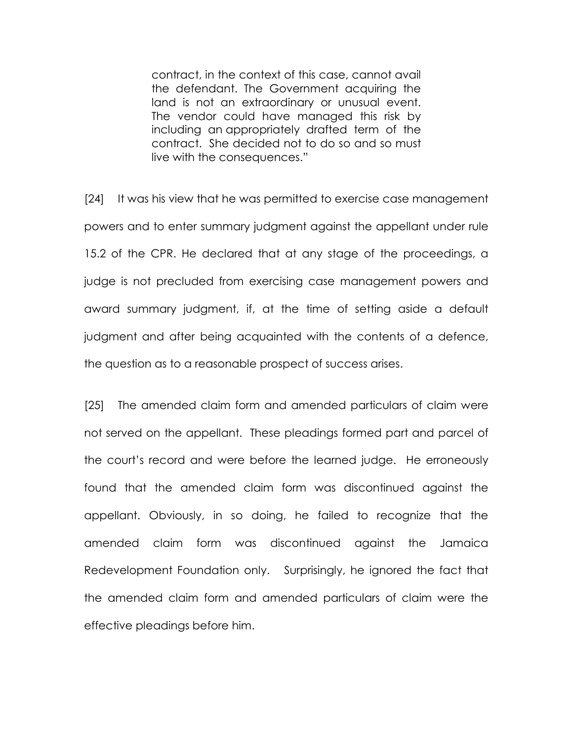contract, in the context of this case, cannot avail the defendant. The Government acquiring the land is not an extraordinary or unusual event. The vendor could have managed this risk by including an appropriately drafted term of the contract. She decided not to do so and so must live with the consequences."

[24] It was his view that he was permitted to exercise case management powers and to enter summary judgment against the appellant under rule 15.2 of the CPR. He declared that at any stage of the proceedings, a judge is not precluded from exercising case management powers and award summary judgment, if, at the time of setting aside a default judgment and after being acquainted with the contents of a defence, the question as to a reasonable prospect of success arises.

[25] The amended claim form and amended particulars of claim were not served on the appellant. These pleadings formed part and parcel of the court's record and were before the learned judge. He erroneously found that the amended claim form was discontinued against the appellant. Obviously, in so doing, he failed to recognize that the amended claim form was discontinued against the Jamaica Redevelopment Foundation only. Surprisingly, he ignored the fact that the amended claim form and amended particulars of claim were the effective pleadings before him.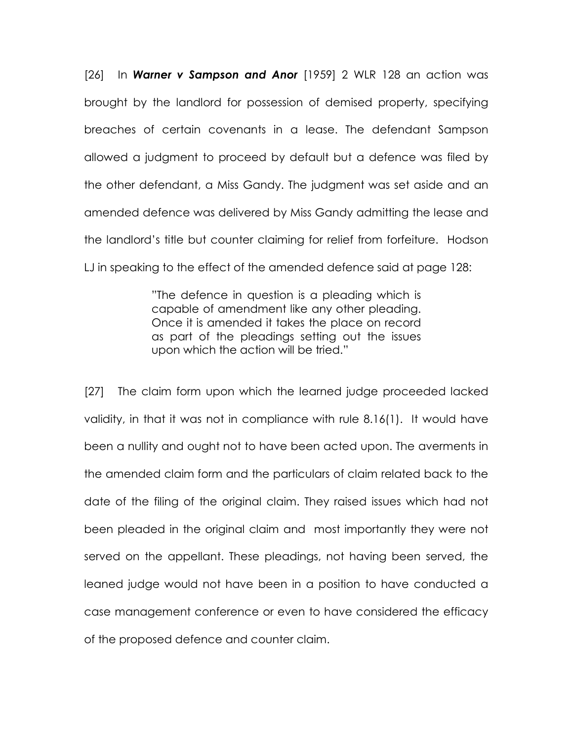$[26]$  In **Warner v Sampson and Anor**  $[1959]$  2 WLR 128 an action was brought by the landlord for possession of demised property, specifying breaches of certain covenants in a lease. The defendant Sampson allowed a judgment to proceed by default but a defence was filed by the other defendant, a Miss Gandy. The judgment was set aside and an amended defence was delivered by Miss Gandy admitting the lease and the landlord's title but counter claiming for relief from forfeiture. Hodson LJ in speaking to the effect of the amended defence said at page 128:

> "The defence in question is a pleading which is capable of amendment like any other pleading. Once it is amended it takes the place on record as part of the pleadings setting out the issues upon which the action will be tried."

[27] The claim form upon which the learned judge proceeded lacked validity, in that it was not in compliance with rule 8.16(1). It would have been a nullity and ought not to have been acted upon. The averments in the amended claim form and the particulars of claim related back to the date of the filing of the original claim. They raised issues which had not been pleaded in the original claim and most importantly they were not served on the appellant. These pleadings, not having been served, the leaned judge would not have been in a position to have conducted a case management conference or even to have considered the efficacy of the proposed defence and counter claim.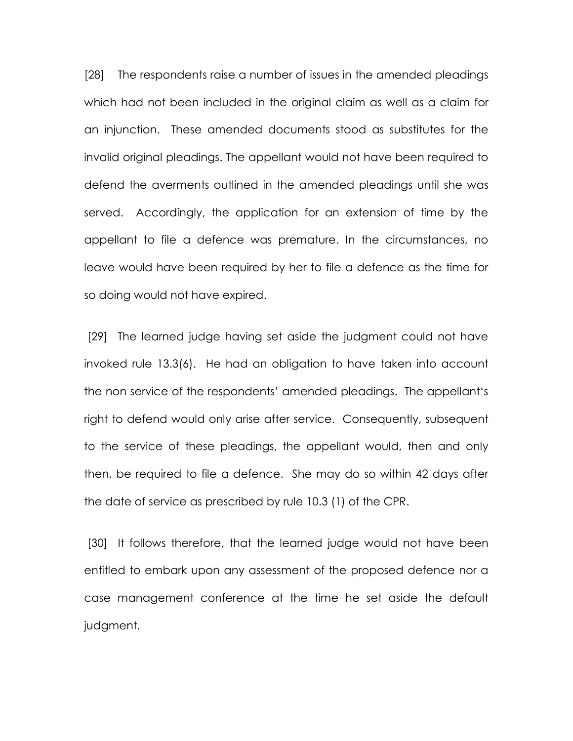[28] The respondents raise a number of issues in the amended pleadings which had not been included in the original claim as well as a claim for an injunction. These amended documents stood as substitutes for the invalid original pleadings. The appellant would not have been required to defend the averments outlined in the amended pleadings until she was served. Accordingly, the application for an extension of time by the appellant to file a defence was premature. In the circumstances, no leave would have been required by her to file a defence as the time for so doing would not have expired.

 [29] The learned judge having set aside the judgment could not have invoked rule 13.3(6). He had an obligation to have taken into account the non service of the respondents' amended pleadings. The appellant's right to defend would only arise after service. Consequently, subsequent to the service of these pleadings, the appellant would, then and only then, be required to file a defence. She may do so within 42 days after the date of service as prescribed by rule 10.3 (1) of the CPR.

[30] It follows therefore, that the learned judge would not have been entitled to embark upon any assessment of the proposed defence nor a case management conference at the time he set aside the default judgment.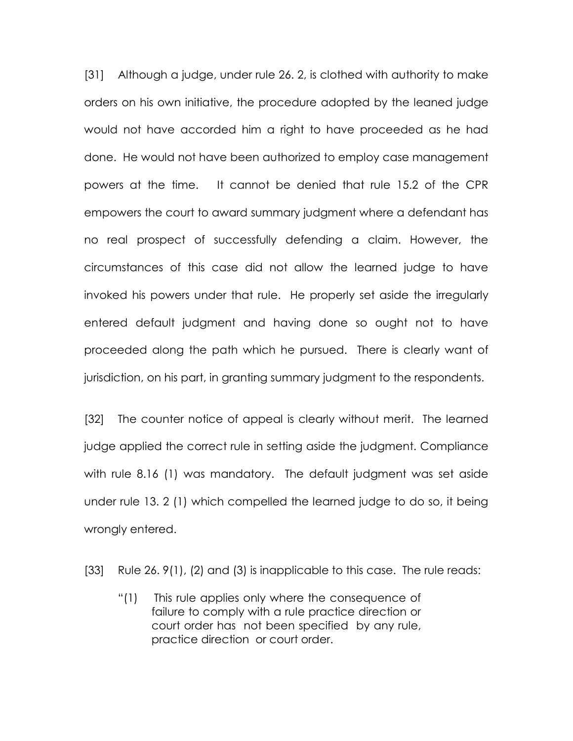[31] Although a judge, under rule 26. 2, is clothed with authority to make orders on his own initiative, the procedure adopted by the leaned judge would not have accorded him a right to have proceeded as he had done. He would not have been authorized to employ case management powers at the time. It cannot be denied that rule 15.2 of the CPR empowers the court to award summary judgment where a defendant has no real prospect of successfully defending a claim. However, the circumstances of this case did not allow the learned judge to have invoked his powers under that rule. He properly set aside the irregularly entered default judgment and having done so ought not to have proceeded along the path which he pursued. There is clearly want of jurisdiction, on his part, in granting summary judgment to the respondents.

[32] The counter notice of appeal is clearly without merit. The learned judge applied the correct rule in setting aside the judgment. Compliance with rule 8.16 (1) was mandatory. The default judgment was set aside under rule 13. 2 (1) which compelled the learned judge to do so, it being wrongly entered.

[33] Rule 26. 9(1), (2) and (3) is inapplicable to this case. The rule reads:

"(1) This rule applies only where the consequence of failure to comply with a rule practice direction or court order has not been specified by any rule, practice direction or court order.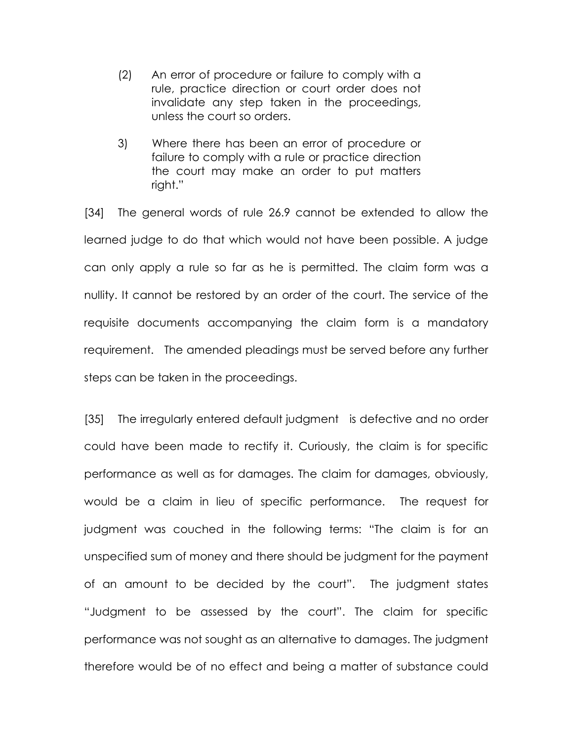- (2) An error of procedure or failure to comply with a rule, practice direction or court order does not invalidate any step taken in the proceedings, unless the court so orders.
- 3) Where there has been an error of procedure or failure to comply with a rule or practice direction the court may make an order to put matters right."

[34] The general words of rule 26.9 cannot be extended to allow the learned judge to do that which would not have been possible. A judge can only apply a rule so far as he is permitted. The claim form was a nullity. It cannot be restored by an order of the court. The service of the requisite documents accompanying the claim form is a mandatory requirement. The amended pleadings must be served before any further steps can be taken in the proceedings.

[35] The irregularly entered default judgment is defective and no order could have been made to rectify it. Curiously, the claim is for specific performance as well as for damages. The claim for damages, obviously, would be a claim in lieu of specific performance. The request for judgment was couched in the following terms: "The claim is for an unspecified sum of money and there should be judgment for the payment of an amount to be decided by the court". The judgment states "Judgment to be assessed by the court". The claim for specific performance was not sought as an alternative to damages. The judgment therefore would be of no effect and being a matter of substance could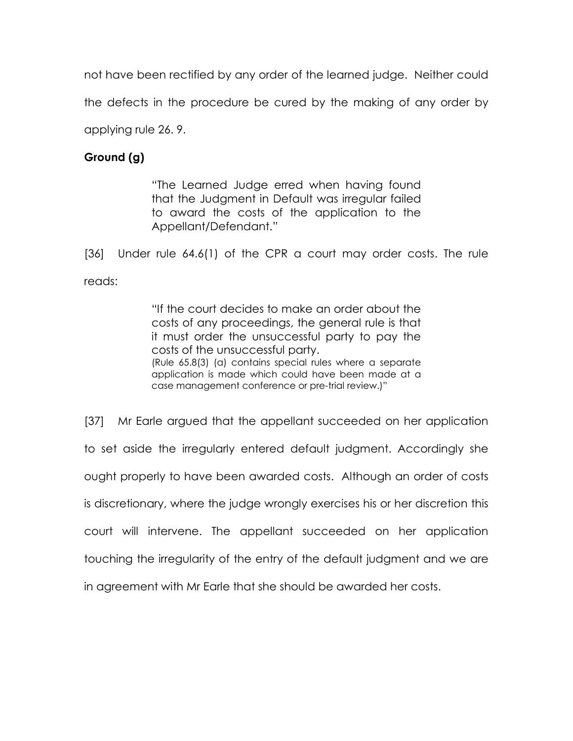not have been rectified by any order of the learned judge. Neither could

the defects in the procedure be cured by the making of any order by

applying rule 26. 9.

# Ground (g)

"The Learned Judge erred when having found that the Judgment in Default was irregular failed to award the costs of the application to the Appellant/Defendant."

[36] Under rule 64.6(1) of the CPR a court may order costs. The rule reads:

> "If the court decides to make an order about the costs of any proceedings, the general rule is that it must order the unsuccessful party to pay the costs of the unsuccessful party. (Rule 65.8(3) (a) contains special rules where a separate application is made which could have been made at a case management conference or pre-trial review.)"

[37] Mr Earle argued that the appellant succeeded on her application to set aside the irregularly entered default judgment. Accordingly she ought properly to have been awarded costs. Although an order of costs is discretionary, where the judge wrongly exercises his or her discretion this court will intervene. The appellant succeeded on her application touching the irregularity of the entry of the default judgment and we are in agreement with Mr Earle that she should be awarded her costs.